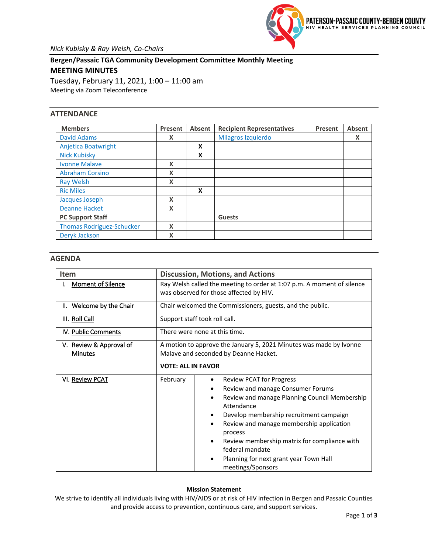

**Bergen/Passaic TGA Community Development Committee Monthly Meeting MEETING MINUTES** Tuesday, February 11, 2021, 1:00 – 11:00 am

Meeting via Zoom Teleconference

# **ATTENDANCE**

| <b>Members</b>                   | Present | Absent | <b>Recipient Representatives</b> | Present | Absent |
|----------------------------------|---------|--------|----------------------------------|---------|--------|
| <b>David Adams</b>               | X       |        | Milagros Izquierdo               |         | X      |
| Anjetica Boatwright              |         | X      |                                  |         |        |
| <b>Nick Kubisky</b>              |         | X      |                                  |         |        |
| Ivonne Malave                    | X       |        |                                  |         |        |
| <b>Abraham Corsino</b>           | X       |        |                                  |         |        |
| <b>Ray Welsh</b>                 | X       |        |                                  |         |        |
| <b>Ric Miles</b>                 |         | X      |                                  |         |        |
| Jacques Joseph                   | X       |        |                                  |         |        |
| <b>Deanne Hacket</b>             | X       |        |                                  |         |        |
| <b>PC Support Staff</b>          |         |        | <b>Guests</b>                    |         |        |
| <b>Thomas Rodriguez-Schucker</b> | X       |        |                                  |         |        |
| Deryk Jackson                    | X       |        |                                  |         |        |

## **AGENDA**

| <b>Item</b>                               | <b>Discussion, Motions, and Actions</b>                                                                                                                                                                                                                                                                                                                                                                                      |  |  |  |  |  |  |
|-------------------------------------------|------------------------------------------------------------------------------------------------------------------------------------------------------------------------------------------------------------------------------------------------------------------------------------------------------------------------------------------------------------------------------------------------------------------------------|--|--|--|--|--|--|
| <b>Moment of Silence</b>                  | Ray Welsh called the meeting to order at 1:07 p.m. A moment of silence<br>was observed for those affected by HIV.                                                                                                                                                                                                                                                                                                            |  |  |  |  |  |  |
| II. Welcome by the Chair                  | Chair welcomed the Commissioners, guests, and the public.                                                                                                                                                                                                                                                                                                                                                                    |  |  |  |  |  |  |
| III. Roll Call                            | Support staff took roll call.                                                                                                                                                                                                                                                                                                                                                                                                |  |  |  |  |  |  |
| IV. Public Comments                       | There were none at this time.                                                                                                                                                                                                                                                                                                                                                                                                |  |  |  |  |  |  |
| V. Review & Approval of<br><b>Minutes</b> | A motion to approve the January 5, 2021 Minutes was made by Ivonne<br>Malave and seconded by Deanne Hacket.<br><b>VOTE: ALL IN FAVOR</b>                                                                                                                                                                                                                                                                                     |  |  |  |  |  |  |
| VI. Review PCAT                           | February<br><b>Review PCAT for Progress</b><br>Review and manage Consumer Forums<br>Review and manage Planning Council Membership<br>$\bullet$<br>Attendance<br>Develop membership recruitment campaign<br>٠<br>Review and manage membership application<br>٠<br>process<br>Review membership matrix for compliance with<br>$\bullet$<br>federal mandate<br>Planning for next grant year Town Hall<br>٠<br>meetings/Sponsors |  |  |  |  |  |  |

### **Mission Statement**

We strive to identify all individuals living with HIV/AIDS or at risk of HIV infection in Bergen and Passaic Counties and provide access to prevention, continuous care, and support services.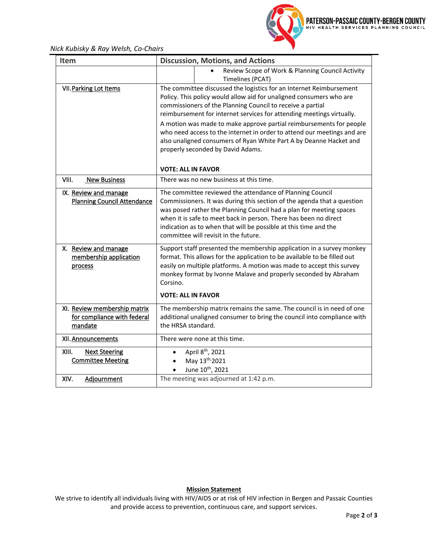*Nick Kubisky & Ray Welsh, Co-Chairs*



| Item                                                                   | <b>Discussion, Motions, and Actions</b>                                                                                                                                                                                                                                                                                                                                                                                                                                                                                                        |  |  |  |  |
|------------------------------------------------------------------------|------------------------------------------------------------------------------------------------------------------------------------------------------------------------------------------------------------------------------------------------------------------------------------------------------------------------------------------------------------------------------------------------------------------------------------------------------------------------------------------------------------------------------------------------|--|--|--|--|
|                                                                        | Review Scope of Work & Planning Council Activity<br>Timelines (PCAT)                                                                                                                                                                                                                                                                                                                                                                                                                                                                           |  |  |  |  |
| <b>VII. Parking Lot Items</b>                                          | The committee discussed the logistics for an Internet Reimbursement<br>Policy. This policy would allow aid for unaligned consumers who are<br>commissioners of the Planning Council to receive a partial<br>reimbursement for internet services for attending meetings virtually.<br>A motion was made to make approve partial reimbursements for people<br>who need access to the internet in order to attend our meetings and are<br>also unaligned consumers of Ryan White Part A by Deanne Hacket and<br>properly seconded by David Adams. |  |  |  |  |
| VIII.<br><b>New Business</b>                                           | <b>VOTE: ALL IN FAVOR</b><br>There was no new business at this time.                                                                                                                                                                                                                                                                                                                                                                                                                                                                           |  |  |  |  |
| IX. Review and manage<br><b>Planning Council Attendance</b>            | The committee reviewed the attendance of Planning Council<br>Commissioners. It was during this section of the agenda that a question<br>was posed rather the Planning Council had a plan for meeting spaces<br>when it is safe to meet back in person. There has been no direct<br>indication as to when that will be possible at this time and the<br>committee will revisit in the future.                                                                                                                                                   |  |  |  |  |
| X. Review and manage<br>membership application<br>process              | Support staff presented the membership application in a survey monkey<br>format. This allows for the application to be available to be filled out<br>easily on multiple platforms. A motion was made to accept this survey<br>monkey format by Ivonne Malave and properly seconded by Abraham<br>Corsino.<br><b>VOTE: ALL IN FAVOR</b>                                                                                                                                                                                                         |  |  |  |  |
| XI. Review membership matrix<br>for compliance with federal<br>mandate | The membership matrix remains the same. The council is in need of one<br>additional unaligned consumer to bring the council into compliance with<br>the HRSA standard.                                                                                                                                                                                                                                                                                                                                                                         |  |  |  |  |
| XII. Announcements                                                     | There were none at this time.                                                                                                                                                                                                                                                                                                                                                                                                                                                                                                                  |  |  |  |  |
| XIII.<br><b>Next Steering</b><br><b>Committee Meeting</b>              | April 8 <sup>th</sup> , 2021<br>May 13 <sup>th</sup> /2021<br>June 10 <sup>th</sup> , 2021                                                                                                                                                                                                                                                                                                                                                                                                                                                     |  |  |  |  |
| XIV.<br>Adjournment                                                    | The meeting was adjourned at 1:42 p.m.                                                                                                                                                                                                                                                                                                                                                                                                                                                                                                         |  |  |  |  |

# **Mission Statement**

We strive to identify all individuals living with HIV/AIDS or at risk of HIV infection in Bergen and Passaic Counties and provide access to prevention, continuous care, and support services.